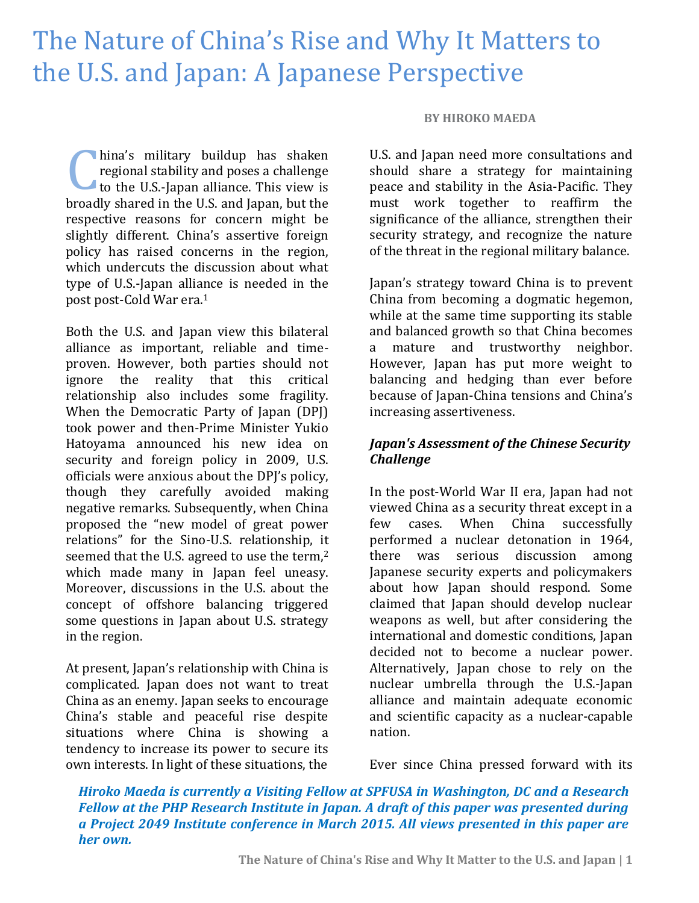# The Nature of China's Rise and Why It Matters to the U.S. and Japan: A Japanese Perspective

hina's military buildup has shaken regional stability and poses a challenge to the U.S.-Japan alliance. This view is broadly shared in the U.S. and Japan, but the respective reasons for concern might be slightly different. China's assertive foreign policy has raised concerns in the region, which undercuts the discussion about what type of U.S.-Japan alliance is needed in the post post-Cold War era.<sup>1</sup> C

Both the U.S. and Japan view this bilateral alliance as important, reliable and timeproven. However, both parties should not ignore the reality that this critical relationship also includes some fragility. When the Democratic Party of Japan (DPJ) took power and then-Prime Minister Yukio Hatoyama announced his new idea on security and foreign policy in 2009, U.S. officials were anxious about the DPJ's policy, though they carefully avoided making negative remarks. Subsequently, when China proposed the "new model of great power relations" for the Sino-U.S. relationship, it seemed that the U.S. agreed to use the term,<sup>2</sup> which made many in Japan feel uneasy. Moreover, discussions in the U.S. about the concept of offshore balancing triggered some questions in Japan about U.S. strategy in the region.

At present, Japan's relationship with China is complicated. Japan does not want to treat China as an enemy. Japan seeks to encourage China's stable and peaceful rise despite situations where China is showing a tendency to increase its power to secure its own interests. In light of these situations, the

#### **BY HIROKO MAEDA**

U.S. and Japan need more consultations and should share a strategy for maintaining peace and stability in the Asia-Pacific. They must work together to reaffirm the significance of the alliance, strengthen their security strategy, and recognize the nature of the threat in the regional military balance.

Japan's strategy toward China is to prevent China from becoming a dogmatic hegemon, while at the same time supporting its stable and balanced growth so that China becomes a mature and trustworthy neighbor. However, Japan has put more weight to balancing and hedging than ever before because of Japan-China tensions and China's increasing assertiveness.

## *Japan's Assessment of the Chinese Security Challenge*

In the post-World War II era, Japan had not viewed China as a security threat except in a few cases. When China successfully performed a nuclear detonation in 1964, there was serious discussion among Japanese security experts and policymakers about how Japan should respond. Some claimed that Japan should develop nuclear weapons as well, but after considering the international and domestic conditions, Japan decided not to become a nuclear power. Alternatively, Japan chose to rely on the nuclear umbrella through the U.S.-Japan alliance and maintain adequate economic and scientific capacity as a nuclear-capable nation.

Ever since China pressed forward with its

*Hiroko Maeda is currently a Visiting Fellow at SPFUSA in Washington, DC and a Research Fellow at the PHP Research Institute in Japan. A draft of this paper was presented during a Project 2049 Institute conference in March 2015. All views presented in this paper are her own.*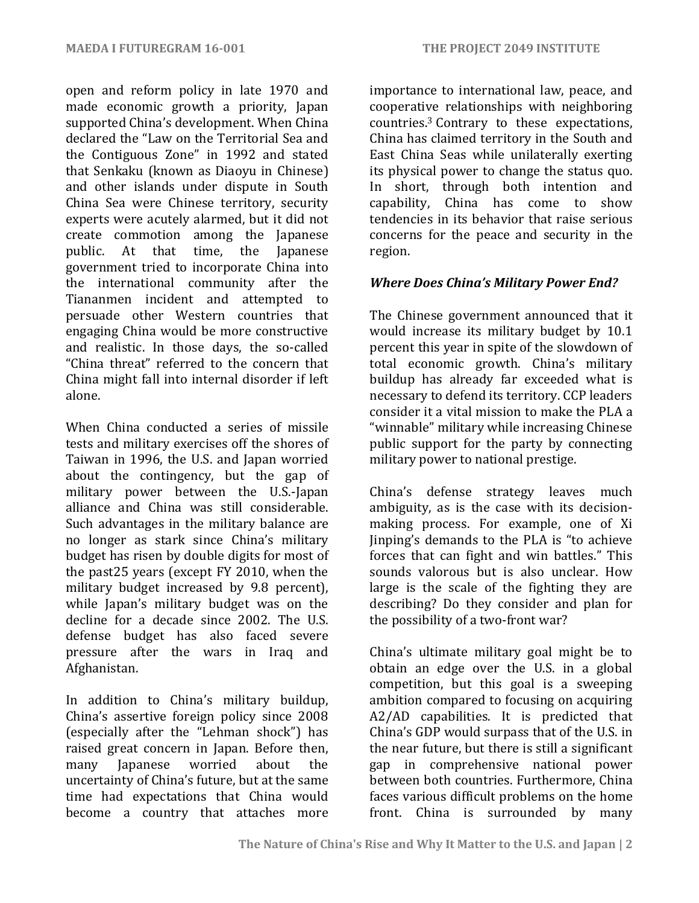open and reform policy in late 1970 and made economic growth a priority, Japan supported China's development. When China declared the "Law on the Territorial Sea and the Contiguous Zone" in 1992 and stated that Senkaku (known as Diaoyu in Chinese) and other islands under dispute in South China Sea were Chinese territory, security experts were acutely alarmed, but it did not create commotion among the Japanese public. At that time, the Japanese government tried to incorporate China into the international community after the Tiananmen incident and attempted to persuade other Western countries that engaging China would be more constructive and realistic. In those days, the so-called "China threat" referred to the concern that China might fall into internal disorder if left alone.

When China conducted a series of missile tests and military exercises off the shores of Taiwan in 1996, the U.S. and Japan worried about the contingency, but the gap of military power between the U.S.-Japan alliance and China was still considerable. Such advantages in the military balance are no longer as stark since China's military budget has risen by double digits for most of the past25 years (except FY 2010, when the military budget increased by 9.8 percent), while Japan's military budget was on the decline for a decade since 2002. The U.S. defense budget has also faced severe pressure after the wars in Iraq and Afghanistan.

In addition to China's military buildup, China's assertive foreign policy since 2008 (especially after the "Lehman shock") has raised great concern in Japan. Before then, many Japanese worried about the uncertainty of China's future, but at the same time had expectations that China would become a country that attaches more importance to international law, peace, and cooperative relationships with neighboring countries.<sup>3</sup> Contrary to these expectations, China has claimed territory in the South and East China Seas while unilaterally exerting its physical power to change the status quo. In short, through both intention and capability, China has come to show tendencies in its behavior that raise serious concerns for the peace and security in the region.

## *Where Does China's Military Power End?*

The Chinese government announced that it would increase its military budget by 10.1 percent this year in spite of the slowdown of total economic growth. China's military buildup has already far exceeded what is necessary to defend its territory. CCP leaders consider it a vital mission to make the PLA a "winnable" military while increasing Chinese public support for the party by connecting military power to national prestige.

China's defense strategy leaves much ambiguity, as is the case with its decisionmaking process. For example, one of Xi Jinping's demands to the PLA is "to achieve forces that can fight and win battles." This sounds valorous but is also unclear. How large is the scale of the fighting they are describing? Do they consider and plan for the possibility of a two-front war?

China's ultimate military goal might be to obtain an edge over the U.S. in a global competition, but this goal is a sweeping ambition compared to focusing on acquiring A2/AD capabilities. It is predicted that China's GDP would surpass that of the U.S. in the near future, but there is still a significant gap in comprehensive national power between both countries. Furthermore, China faces various difficult problems on the home front. China is surrounded by many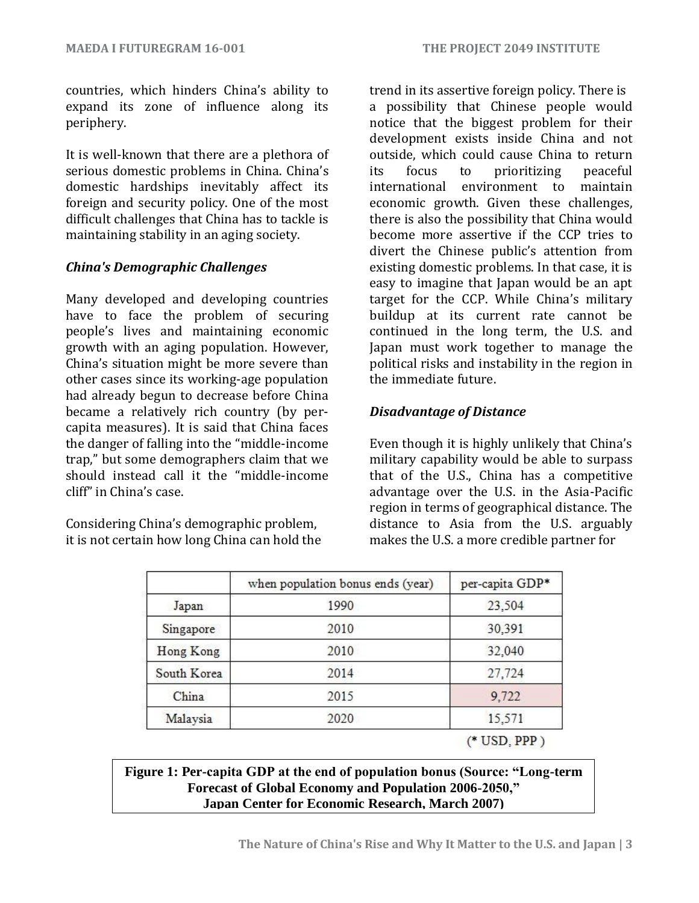countries, which hinders China's ability to expand its zone of influence along its periphery.

It is well-known that there are a plethora of serious domestic problems in China. China's domestic hardships inevitably affect its foreign and security policy. One of the most difficult challenges that China has to tackle is maintaining stability in an aging society.

#### *China's Demographic Challenges*

Many developed and developing countries have to face the problem of securing people's lives and maintaining economic growth with an aging population. However, China's situation might be more severe than other cases since its working-age population had already begun to decrease before China became a relatively rich country (by percapita measures). It is said that China faces the danger of falling into the "middle-income trap," but some demographers claim that we should instead call it the "middle-income cliff" in China's case.

Considering China's demographic problem, it is not certain how long China can hold the trend in its assertive foreign policy. There is a possibility that Chinese people would notice that the biggest problem for their development exists inside China and not outside, which could cause China to return its focus to prioritizing peaceful international environment to maintain economic growth. Given these challenges, there is also the possibility that China would become more assertive if the CCP tries to divert the Chinese public's attention from existing domestic problems. In that case, it is easy to imagine that Japan would be an apt target for the CCP. While China's military buildup at its current rate cannot be continued in the long term, the U.S. and Japan must work together to manage the political risks and instability in the region in the immediate future.

## *Disadvantage of Distance*

Even though it is highly unlikely that China's military capability would be able to surpass that of the U.S., China has a competitive advantage over the U.S. in the Asia-Pacific region in terms of geographical distance. The distance to Asia from the U.S. arguably makes the U.S. a more credible partner for

|             | when population bonus ends (year) | per-capita GDP* |
|-------------|-----------------------------------|-----------------|
| Japan       | 1990                              | 23,504          |
| Singapore   | 2010                              | 30,391          |
| Hong Kong   | 2010                              | 32,040          |
| South Korea | 2014                              | 27,724          |
| China       | 2015                              | 9.722           |
| Malaysia    | 2020                              | 15,571          |
|             |                                   | $($ USD PPP)    |

## **Figure 1: Per-capita GDP at the end of population bonus (Source: "Long-term Forecast of Global Economy and Population 2006-2050," Japan Center for Economic Research, March 2007)**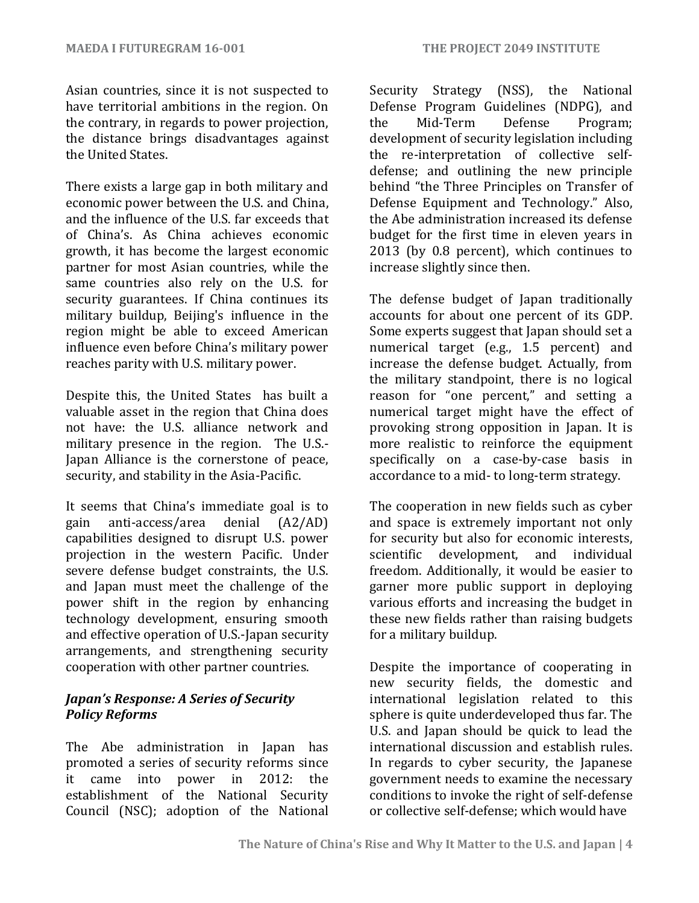Asian countries, since it is not suspected to have territorial ambitions in the region. On the contrary, in regards to power projection, the distance brings disadvantages against the United States.

There exists a large gap in both military and economic power between the U.S. and China, and the influence of the U.S. far exceeds that of China's. As China achieves economic growth, it has become the largest economic partner for most Asian countries, while the same countries also rely on the U.S. for security guarantees. If China continues its military buildup, Beijing's influence in the region might be able to exceed American influence even before China's military power reaches parity with U.S. military power.

Despite this, the United States has built a valuable asset in the region that China does not have: the U.S. alliance network and military presence in the region. The U.S.- Japan Alliance is the cornerstone of peace, security, and stability in the Asia-Pacific.

It seems that China's immediate goal is to gain anti-access/area denial (A2/AD) capabilities designed to disrupt U.S. power projection in the western Pacific. Under severe defense budget constraints, the U.S. and Japan must meet the challenge of the power shift in the region by enhancing technology development, ensuring smooth and effective operation of U.S.-Japan security arrangements, and strengthening security cooperation with other partner countries.

## *Japan's Response: A Series of Security Policy Reforms*

The Abe administration in Japan has promoted a series of security reforms since it came into power in 2012: the establishment of the National Security Council (NSC); adoption of the National Security Strategy (NSS), the National Defense Program Guidelines (NDPG), and the Mid-Term Defense Program; development of security legislation including the re-interpretation of collective selfdefense; and outlining the new principle behind "the Three Principles on Transfer of Defense Equipment and Technology." Also, the Abe administration increased its defense budget for the first time in eleven years in 2013 (by 0.8 percent), which continues to increase slightly since then.

The defense budget of Japan traditionally accounts for about one percent of its GDP. Some experts suggest that Japan should set a numerical target (e.g., 1.5 percent) and increase the defense budget. Actually, from the military standpoint, there is no logical reason for "one percent," and setting a numerical target might have the effect of provoking strong opposition in Japan. It is more realistic to reinforce the equipment specifically on a case-by-case basis in accordance to a mid- to long-term strategy.

The cooperation in new fields such as cyber and space is extremely important not only for security but also for economic interests, scientific development, and individual freedom. Additionally, it would be easier to garner more public support in deploying various efforts and increasing the budget in these new fields rather than raising budgets for a military buildup.

Despite the importance of cooperating in new security fields, the domestic and international legislation related to this sphere is quite underdeveloped thus far. The U.S. and Japan should be quick to lead the international discussion and establish rules. In regards to cyber security, the Japanese government needs to examine the necessary conditions to invoke the right of self-defense or collective self-defense; which would have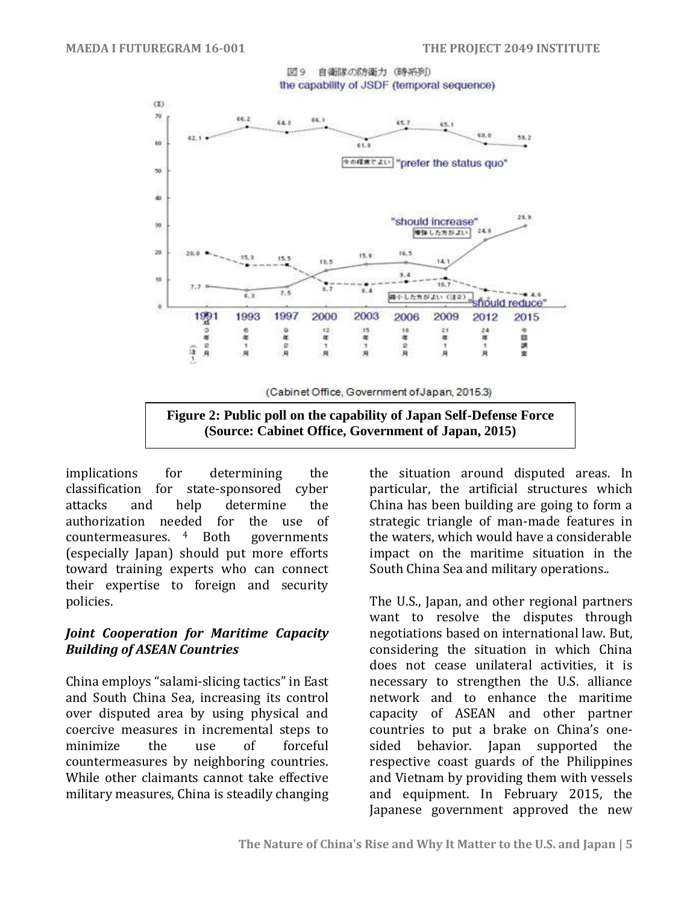#### 図9 自衛隊の防衛力 (時系列) the capability of JSDF (temporal sequence)



**(Source: Cabinet Office, Government of Japan, 2015)**

implications for determining the classification for state-sponsored cyber attacks and help determine the authorization needed for the use of countermeasures. governments (especially Japan) should put more efforts toward training experts who can connect their expertise to foreign and security policies.

#### *Joint Cooperation for Maritime Capacity Building of ASEAN Countries*

China employs "salami-slicing tactics" in East and South China Sea, increasing its control over disputed area by using physical and coercive measures in incremental steps to minimize the use of forceful countermeasures by neighboring countries. While other claimants cannot take effective military measures, China is steadily changing

the situation around disputed areas. In particular, the artificial structures which China has been building are going to form a strategic triangle of man-made features in the waters, which would have a considerable impact on the maritime situation in the South China Sea and military operations..

The U.S., Japan, and other regional partners want to resolve the disputes through negotiations based on international law. But, considering the situation in which China does not cease unilateral activities, it is necessary to strengthen the U.S. alliance network and to enhance the maritime capacity of ASEAN and other partner countries to put a brake on China's onesided behavior. Japan supported the respective coast guards of the Philippines and Vietnam by providing them with vessels and equipment. In February 2015, the Japanese government approved the new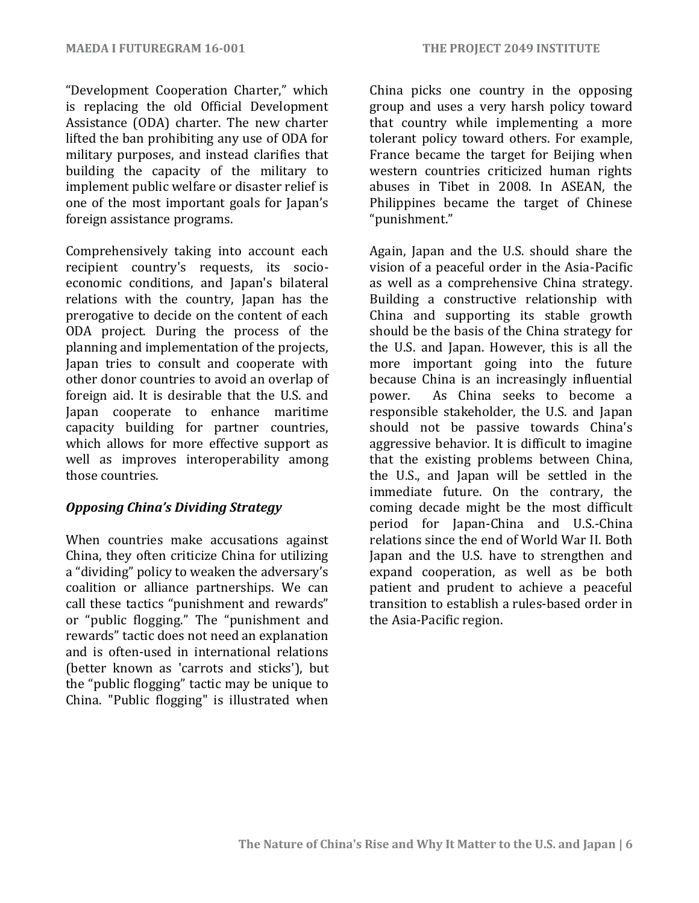"Development Cooperation Charter," which is replacing the old Official Development Assistance (ODA) charter. The new charter lifted the ban prohibiting any use of ODA for military purposes, and instead clarifies that building the capacity of the military to implement public welfare or disaster relief is one of the most important goals for Japan's foreign assistance programs.

Comprehensively taking into account each recipient country's requests, its socioeconomic conditions, and Japan's bilateral relations with the country, Japan has the prerogative to decide on the content of each ODA project. During the process of the planning and implementation of the projects, Japan tries to consult and cooperate with other donor countries to avoid an overlap of foreign aid. It is desirable that the U.S. and Japan cooperate to enhance maritime capacity building for partner countries, which allows for more effective support as well as improves interoperability among those countries.

#### *Opposing China's Dividing Strategy*

When countries make accusations against China, they often criticize China for utilizing a "dividing" policy to weaken the adversary's coalition or alliance partnerships. We can call these tactics "punishment and rewards" or "public flogging." The "punishment and rewards" tactic does not need an explanation and is often-used in international relations (better known as 'carrots and sticks'), but the "public flogging" tactic may be unique to China. "Public flogging" is illustrated when

China picks one country in the opposing group and uses a very harsh policy toward that country while implementing a more tolerant policy toward others. For example, France became the target for Beijing when western countries criticized human rights abuses in Tibet in 2008. In ASEAN, the Philippines became the target of Chinese "punishment."

Again, Japan and the U.S. should share the vision of a peaceful order in the Asia-Pacific as well as a comprehensive China strategy. Building a constructive relationship with China and supporting its stable growth should be the basis of the China strategy for the U.S. and Japan. However, this is all the more important going into the future because China is an increasingly influential power. As China seeks to become a responsible stakeholder, the U.S. and Japan should not be passive towards China's aggressive behavior. It is difficult to imagine that the existing problems between China, the U.S., and Japan will be settled in the immediate future. On the contrary, the coming decade might be the most difficult period for Japan-China and U.S.-China relations since the end of World War II. Both Japan and the U.S. have to strengthen and expand cooperation, as well as be both patient and prudent to achieve a peaceful transition to establish a rules-based order in the Asia-Pacific region.